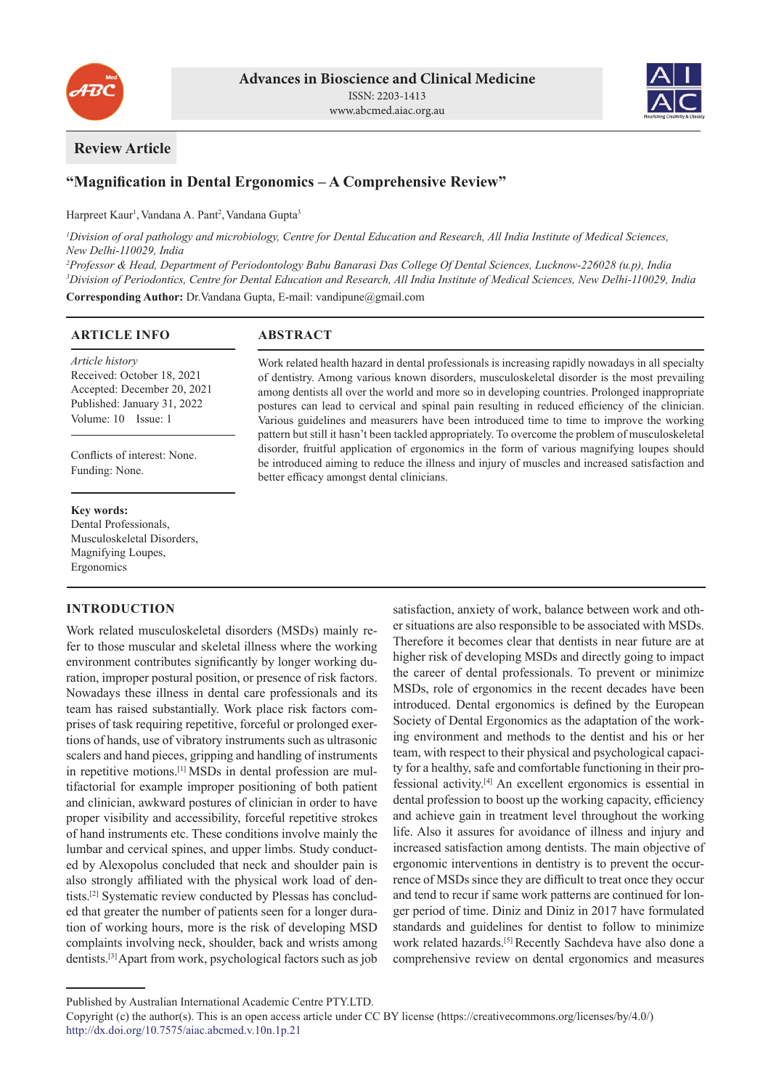



# **Review Article**

# **"Magnification in Dental Ergonomics – A Comprehensive Review"**

Harpreet Kaur<sup>1</sup>, Vandana A. Pant<sup>2</sup>, Vandana Gupta<sup>3</sup>

*1 Division of oral pathology and microbiology, Centre for Dental Education and Research, All India Institute of Medical Sciences, New Delhi-110029, India*

*2 Professor & Head, Department of Periodontology Babu Banarasi Das College Of Dental Sciences, Lucknow-226028 (u.p), India 3 Division of Periodontics, Centre for Dental Education and Research, All India Institute of Medical Sciences, New Delhi-110029, India*

**Corresponding Author:** Dr.Vandana Gupta, E-mail: vandipune@gmail.com

## **ARTICLE INFO**

*Article history* Received: October 18, 2021 Accepted: December 20, 2021 Published: January 31, 2022 Volume: 10 Issue: 1

Conflicts of interest: None. Funding: None.

## **Key words:**

Dental Professionals, Musculoskeletal Disorders, Magnifying Loupes, Ergonomics

# **INTRODUCTION**

Work related musculoskeletal disorders (MSDs) mainly refer to those muscular and skeletal illness where the working environment contributes significantly by longer working duration, improper postural position, or presence of risk factors. Nowadays these illness in dental care professionals and its team has raised substantially. Work place risk factors comprises of task requiring repetitive, forceful or prolonged exertions of hands, use of vibratory instruments such as ultrasonic scalers and hand pieces, gripping and handling of instruments in repetitive motions.[1] MSDs in dental profession are multifactorial for example improper positioning of both patient and clinician, awkward postures of clinician in order to have proper visibility and accessibility, forceful repetitive strokes of hand instruments etc. These conditions involve mainly the lumbar and cervical spines, and upper limbs. Study conducted by Alexopolus concluded that neck and shoulder pain is also strongly affiliated with the physical work load of dentists.[2] Systematic review conducted by Plessas has concluded that greater the number of patients seen for a longer duration of working hours, more is the risk of developing MSD complaints involving neck, shoulder, back and wrists among dentists.[3] Apart from work, psychological factors such as job

**ABSTRACT**

Work related health hazard in dental professionals is increasing rapidly nowadays in all specialty of dentistry. Among various known disorders, musculoskeletal disorder is the most prevailing among dentists all over the world and more so in developing countries. Prolonged inappropriate postures can lead to cervical and spinal pain resulting in reduced efficiency of the clinician. Various guidelines and measurers have been introduced time to time to improve the working pattern but still it hasn't been tackled appropriately. To overcome the problem of musculoskeletal disorder, fruitful application of ergonomics in the form of various magnifying loupes should be introduced aiming to reduce the illness and injury of muscles and increased satisfaction and better efficacy amongst dental clinicians.

> satisfaction, anxiety of work, balance between work and other situations are also responsible to be associated with MSDs. Therefore it becomes clear that dentists in near future are at higher risk of developing MSDs and directly going to impact the career of dental professionals. To prevent or minimize MSDs, role of ergonomics in the recent decades have been introduced. Dental ergonomics is defined by the European Society of Dental Ergonomics as the adaptation of the working environment and methods to the dentist and his or her team, with respect to their physical and psychological capacity for a healthy, safe and comfortable functioning in their professional activity.[4] An excellent ergonomics is essential in dental profession to boost up the working capacity, efficiency and achieve gain in treatment level throughout the working life. Also it assures for avoidance of illness and injury and increased satisfaction among dentists. The main objective of ergonomic interventions in dentistry is to prevent the occurrence of MSDs since they are difficult to treat once they occur and tend to recur if same work patterns are continued for longer period of time. Diniz and Diniz in 2017 have formulated standards and guidelines for dentist to follow to minimize work related hazards.<sup>[5]</sup> Recently Sachdeva have also done a comprehensive review on dental ergonomics and measures

Published by Australian International Academic Centre PTY.LTD.

Copyright (c) the author(s). This is an open access article under CC BY license (https://creativecommons.org/licenses/by/4.0/) http://dx.doi.org/10.7575/aiac.abcmed.v.10n.1p.21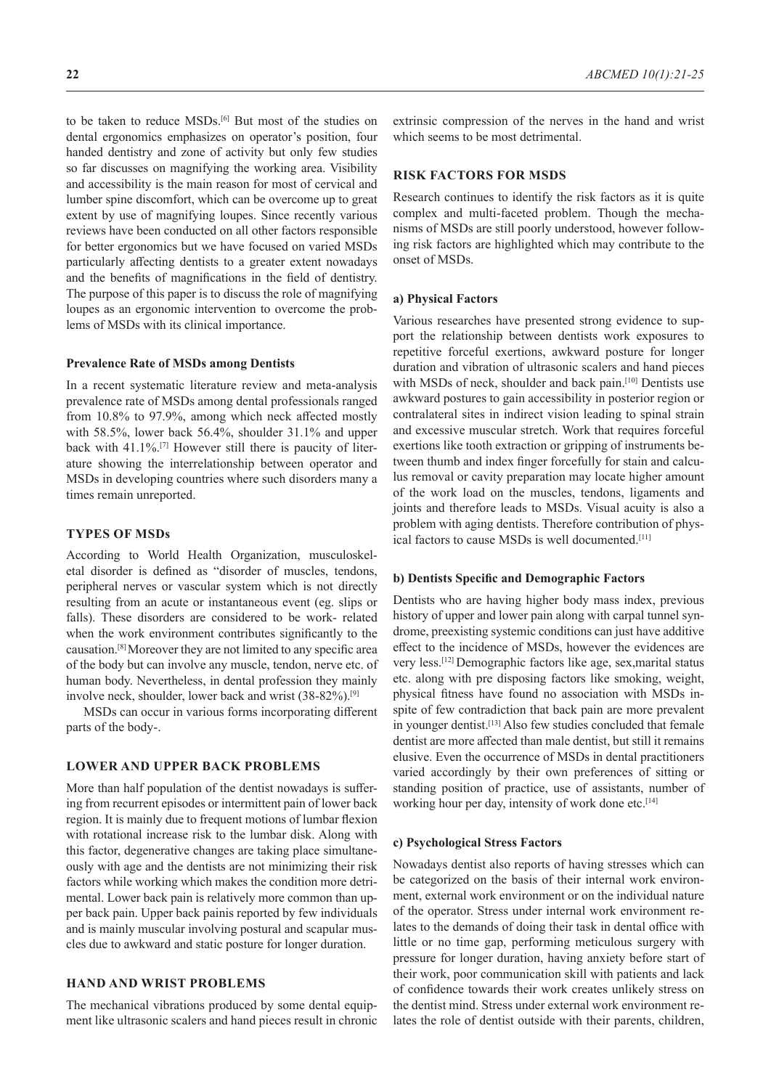so far discusses on magnifying the working area. Visibility and accessibility is the main reason for most of cervical and lumber spine discomfort, which can be overcome up to great extent by use of magnifying loupes. Since recently various reviews have been conducted on all other factors responsible for better ergonomics but we have focused on varied MSDs particularly affecting dentists to a greater extent nowadays and the benefits of magnifications in the field of dentistry. The purpose of this paper is to discuss the role of magnifying loupes as an ergonomic intervention to overcome the problems of MSDs with its clinical importance.

### **Prevalence Rate of MSDs among Dentists**

In a recent systematic literature review and meta-analysis prevalence rate of MSDs among dental professionals ranged from 10.8% to 97.9%, among which neck affected mostly with 58.5%, lower back 56.4%, shoulder 31.1% and upper back with 41.1%.<sup>[7]</sup> However still there is paucity of literature showing the interrelationship between operator and MSDs in developing countries where such disorders many a times remain unreported.

## **TYPES OF MSDs**

According to World Health Organization, musculoskeletal disorder is defined as "disorder of muscles, tendons, peripheral nerves or vascular system which is not directly resulting from an acute or instantaneous event (eg. slips or falls). These disorders are considered to be work- related when the work environment contributes significantly to the causation.[8] Moreover they are not limited to any specific area of the body but can involve any muscle, tendon, nerve etc. of human body. Nevertheless, in dental profession they mainly involve neck, shoulder, lower back and wrist (38-82%).[9]

MSDs can occur in various forms incorporating different parts of the body-.

#### **LOWER AND UPPER BACK PROBLEMS**

More than half population of the dentist nowadays is suffering from recurrent episodes or intermittent pain of lower back region. It is mainly due to frequent motions of lumbar flexion with rotational increase risk to the lumbar disk. Along with this factor, degenerative changes are taking place simultaneously with age and the dentists are not minimizing their risk factors while working which makes the condition more detrimental. Lower back pain is relatively more common than upper back pain. Upper back painis reported by few individuals and is mainly muscular involving postural and scapular muscles due to awkward and static posture for longer duration.

# **HAND AND WRIST PROBLEMS**

The mechanical vibrations produced by some dental equipment like ultrasonic scalers and hand pieces result in chronic

**22** *ABCMED 10(1):21-25*

extrinsic compression of the nerves in the hand and wrist which seems to be most detrimental.

# **RISK FACTORS FOR MSDS**

Research continues to identify the risk factors as it is quite complex and multi-faceted problem. Though the mechanisms of MSDs are still poorly understood, however following risk factors are highlighted which may contribute to the onset of MSDs.

#### **a) Physical Factors**

Various researches have presented strong evidence to support the relationship between dentists work exposures to repetitive forceful exertions, awkward posture for longer duration and vibration of ultrasonic scalers and hand pieces with MSDs of neck, shoulder and back pain.<sup>[10]</sup> Dentists use awkward postures to gain accessibility in posterior region or contralateral sites in indirect vision leading to spinal strain and excessive muscular stretch. Work that requires forceful exertions like tooth extraction or gripping of instruments between thumb and index finger forcefully for stain and calculus removal or cavity preparation may locate higher amount of the work load on the muscles, tendons, ligaments and joints and therefore leads to MSDs. Visual acuity is also a problem with aging dentists. Therefore contribution of physical factors to cause MSDs is well documented.[11]

## **b) Dentists Specific and Demographic Factors**

Dentists who are having higher body mass index, previous history of upper and lower pain along with carpal tunnel syndrome, preexisting systemic conditions can just have additive effect to the incidence of MSDs, however the evidences are very less.[12] Demographic factors like age, sex,marital status etc. along with pre disposing factors like smoking, weight, physical fitness have found no association with MSDs inspite of few contradiction that back pain are more prevalent in younger dentist.<sup>[13]</sup> Also few studies concluded that female dentist are more affected than male dentist, but still it remains elusive. Even the occurrence of MSDs in dental practitioners varied accordingly by their own preferences of sitting or standing position of practice, use of assistants, number of working hour per day, intensity of work done etc.<sup>[14]</sup>

## **c) Psychological Stress Factors**

Nowadays dentist also reports of having stresses which can be categorized on the basis of their internal work environment, external work environment or on the individual nature of the operator. Stress under internal work environment relates to the demands of doing their task in dental office with little or no time gap, performing meticulous surgery with pressure for longer duration, having anxiety before start of their work, poor communication skill with patients and lack of confidence towards their work creates unlikely stress on the dentist mind. Stress under external work environment relates the role of dentist outside with their parents, children,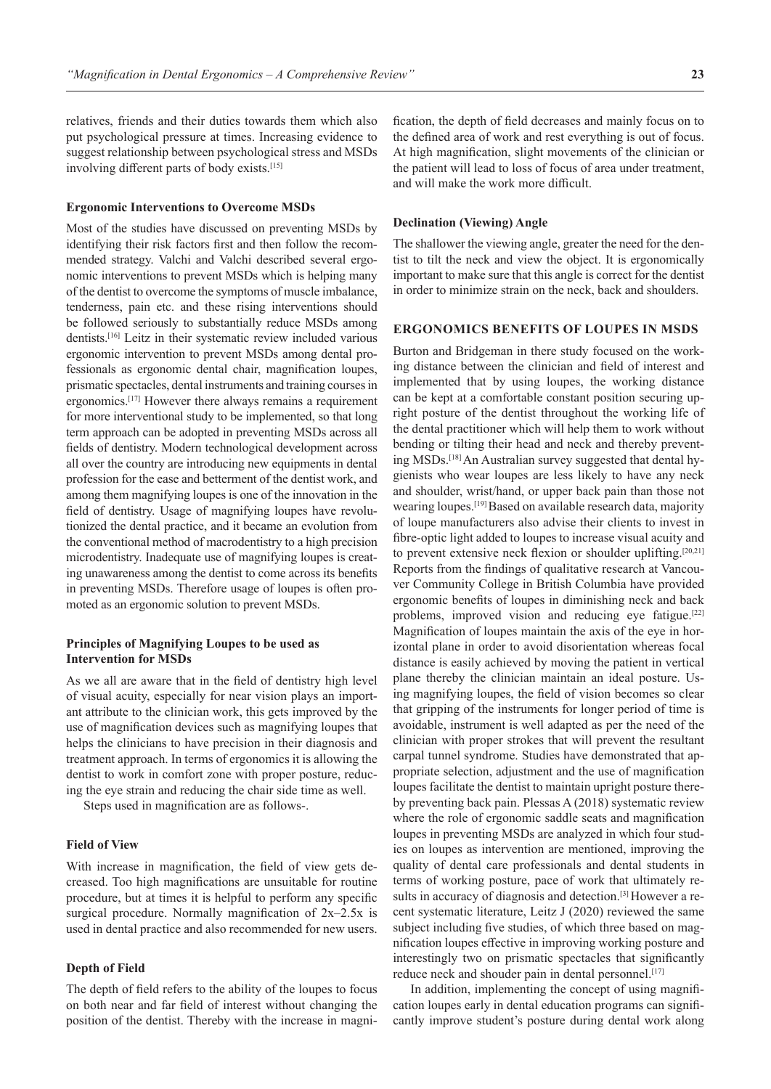relatives, friends and their duties towards them which also put psychological pressure at times. Increasing evidence to suggest relationship between psychological stress and MSDs involving different parts of body exists.[15]

#### **Ergonomic Interventions to Overcome MSDs**

Most of the studies have discussed on preventing MSDs by identifying their risk factors first and then follow the recommended strategy. Valchi and Valchi described several ergonomic interventions to prevent MSDs which is helping many of the dentist to overcome the symptoms of muscle imbalance, tenderness, pain etc. and these rising interventions should be followed seriously to substantially reduce MSDs among dentists.[16] Leitz in their systematic review included various ergonomic intervention to prevent MSDs among dental professionals as ergonomic dental chair, magnification loupes, prismatic spectacles, dental instruments and training courses in ergonomics.[17] However there always remains a requirement for more interventional study to be implemented, so that long term approach can be adopted in preventing MSDs across all fields of dentistry. Modern technological development across all over the country are introducing new equipments in dental profession for the ease and betterment of the dentist work, and among them magnifying loupes is one of the innovation in the field of dentistry. Usage of magnifying loupes have revolutionized the dental practice, and it became an evolution from the conventional method of macrodentistry to a high precision microdentistry. Inadequate use of magnifying loupes is creating unawareness among the dentist to come across its benefits in preventing MSDs. Therefore usage of loupes is often promoted as an ergonomic solution to prevent MSDs.

## **Principles of Magnifying Loupes to be used as Intervention for MSDs**

As we all are aware that in the field of dentistry high level of visual acuity, especially for near vision plays an important attribute to the clinician work, this gets improved by the use of magnification devices such as magnifying loupes that helps the clinicians to have precision in their diagnosis and treatment approach. In terms of ergonomics it is allowing the dentist to work in comfort zone with proper posture, reducing the eye strain and reducing the chair side time as well.

Steps used in magnification are as follows-.

### **Field of View**

With increase in magnification, the field of view gets decreased. Too high magnifications are unsuitable for routine procedure, but at times it is helpful to perform any specific surgical procedure. Normally magnification of 2x–2.5x is used in dental practice and also recommended for new users.

## **Depth of Field**

The depth of field refers to the ability of the loupes to focus on both near and far field of interest without changing the position of the dentist. Thereby with the increase in magnification, the depth of field decreases and mainly focus on to the defined area of work and rest everything is out of focus. At high magnification, slight movements of the clinician or the patient will lead to loss of focus of area under treatment, and will make the work more difficult.

### **Declination (Viewing) Angle**

The shallower the viewing angle, greater the need for the dentist to tilt the neck and view the object. It is ergonomically important to make sure that this angle is correct for the dentist in order to minimize strain on the neck, back and shoulders.

#### **ERGONOMICS BENEFITS OF LOUPES IN MSDS**

Burton and Bridgeman in there study focused on the working distance between the clinician and field of interest and implemented that by using loupes, the working distance can be kept at a comfortable constant position securing upright posture of the dentist throughout the working life of the dental practitioner which will help them to work without bending or tilting their head and neck and thereby preventing MSDs.[18] An Australian survey suggested that dental hygienists who wear loupes are less likely to have any neck and shoulder, wrist/hand, or upper back pain than those not wearing loupes.[19] Based on available research data, majority of loupe manufacturers also advise their clients to invest in fibre-optic light added to loupes to increase visual acuity and to prevent extensive neck flexion or shoulder uplifting.<sup>[20,21]</sup> Reports from the findings of qualitative research at Vancouver Community College in British Columbia have provided ergonomic benefits of loupes in diminishing neck and back problems, improved vision and reducing eye fatigue.<sup>[22]</sup> Magnification of loupes maintain the axis of the eye in horizontal plane in order to avoid disorientation whereas focal distance is easily achieved by moving the patient in vertical plane thereby the clinician maintain an ideal posture. Using magnifying loupes, the field of vision becomes so clear that gripping of the instruments for longer period of time is avoidable, instrument is well adapted as per the need of the clinician with proper strokes that will prevent the resultant carpal tunnel syndrome. Studies have demonstrated that appropriate selection, adjustment and the use of magnification loupes facilitate the dentist to maintain upright posture thereby preventing back pain. Plessas A (2018) systematic review where the role of ergonomic saddle seats and magnification loupes in preventing MSDs are analyzed in which four studies on loupes as intervention are mentioned, improving the quality of dental care professionals and dental students in terms of working posture, pace of work that ultimately results in accuracy of diagnosis and detection.<sup>[3]</sup> However a recent systematic literature, Leitz J (2020) reviewed the same subject including five studies, of which three based on magnification loupes effective in improving working posture and interestingly two on prismatic spectacles that significantly reduce neck and shouder pain in dental personnel.<sup>[17]</sup>

In addition, implementing the concept of using magnification loupes early in dental education programs can significantly improve student's posture during dental work along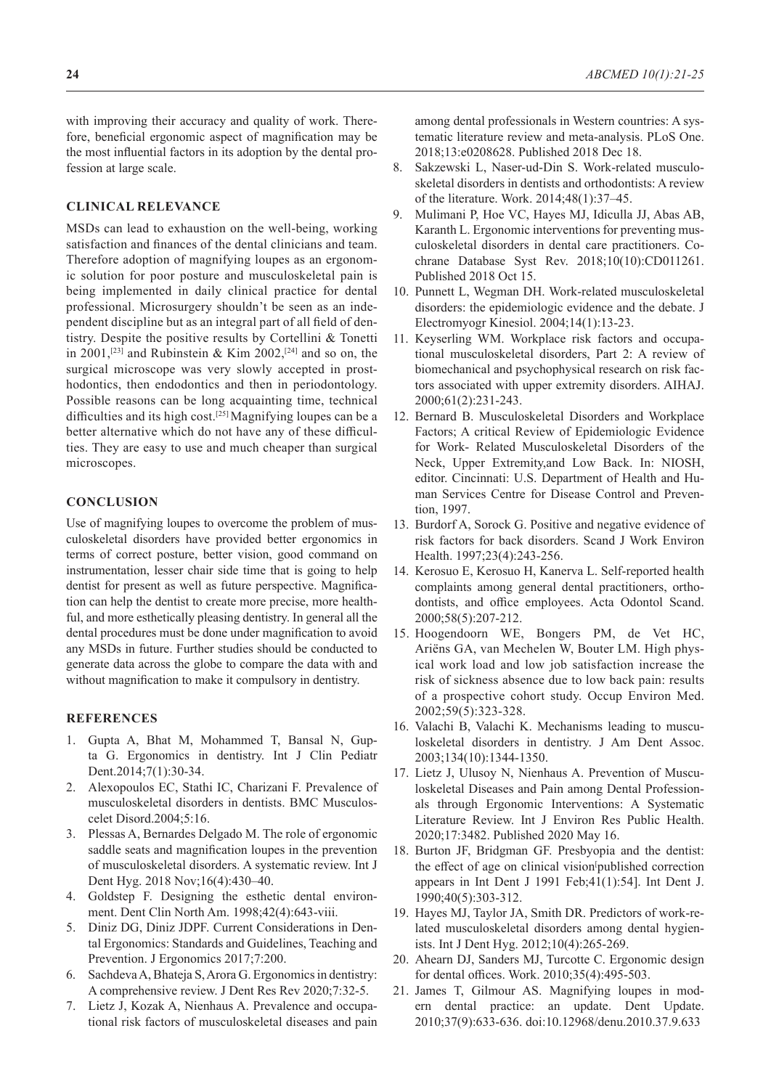with improving their accuracy and quality of work. Therefore, beneficial ergonomic aspect of magnification may be the most influential factors in its adoption by the dental profession at large scale.

# **CLINICAL RELEVANCE**

MSDs can lead to exhaustion on the well-being, working satisfaction and finances of the dental clinicians and team. Therefore adoption of magnifying loupes as an ergonomic solution for poor posture and musculoskeletal pain is being implemented in daily clinical practice for dental professional. Microsurgery shouldn't be seen as an independent discipline but as an integral part of all field of dentistry. Despite the positive results by Cortellini & Tonetti in 2001,<sup>[23]</sup> and Rubinstein & Kim 2002,<sup>[24]</sup> and so on, the surgical microscope was very slowly accepted in prosthodontics, then endodontics and then in periodontology. Possible reasons can be long acquainting time, technical difficulties and its high cost.<sup>[25]</sup> Magnifying loupes can be a better alternative which do not have any of these difficulties. They are easy to use and much cheaper than surgical microscopes.

## **CONCLUSION**

Use of magnifying loupes to overcome the problem of musculoskeletal disorders have provided better ergonomics in terms of correct posture, better vision, good command on instrumentation, lesser chair side time that is going to help dentist for present as well as future perspective. Magnification can help the dentist to create more precise, more healthful, and more esthetically pleasing dentistry. In general all the dental procedures must be done under magnification to avoid any MSDs in future. Further studies should be conducted to generate data across the globe to compare the data with and without magnification to make it compulsory in dentistry.

## **REFERENCES**

- 1. Gupta A, Bhat M, Mohammed T, Bansal N, Gupta G. Ergonomics in dentistry. Int J Clin Pediatr Dent.2014;7(1):30‐34.
- 2. Alexopoulos EC, Stathi IC, Charizani F. Prevalence of musculoskeletal disorders in dentists. BMC Musculoscelet Disord.2004;5:16.
- 3. Plessas A, Bernardes Delgado M. The role of ergonomic saddle seats and magnification loupes in the prevention of musculoskeletal disorders. A systematic review. Int J Dent Hyg. 2018 Nov;16(4):430–40.
- 4. Goldstep F. Designing the esthetic dental environment. Dent Clin North Am. 1998;42(4):643‐viii.
- 5. Diniz DG, Diniz JDPF. Current Considerations in Dental Ergonomics: Standards and Guidelines, Teaching and Prevention. J Ergonomics 2017;7:200.
- 6. Sachdeva A, Bhateja S, Arora G. Ergonomics in dentistry: A comprehensive review. J Dent Res Rev 2020;7:32-5.
- 7. Lietz J, Kozak A, Nienhaus A. Prevalence and occupational risk factors of musculoskeletal diseases and pain

among dental professionals in Western countries: A systematic literature review and meta-analysis. PLoS One. 2018;13:e0208628. Published 2018 Dec 18.

- 8. Sakzewski L, Naser-ud-Din S. Work-related musculoskeletal disorders in dentists and orthodontists: A review of the literature. Work. 2014;48(1):37–45.
- 9. Mulimani P, Hoe VC, Hayes MJ, Idiculla JJ, Abas AB, Karanth L. Ergonomic interventions for preventing musculoskeletal disorders in dental care practitioners. Cochrane Database Syst Rev. 2018;10(10):CD011261. Published 2018 Oct 15.
- 10. Punnett L, Wegman DH. Work-related musculoskeletal disorders: the epidemiologic evidence and the debate. J Electromyogr Kinesiol. 2004;14(1):13‐23.
- 11. Keyserling WM. Workplace risk factors and occupational musculoskeletal disorders, Part 2: A review of biomechanical and psychophysical research on risk factors associated with upper extremity disorders. AIHAJ. 2000;61(2):231‐243.
- 12. Bernard B. Musculoskeletal Disorders and Workplace Factors; A critical Review of Epidemiologic Evidence for Work- Related Musculoskeletal Disorders of the Neck, Upper Extremity,and Low Back. In: NIOSH, editor. Cincinnati: U.S. Department of Health and Human Services Centre for Disease Control and Prevention, 1997.
- 13. Burdorf A, Sorock G. Positive and negative evidence of risk factors for back disorders. Scand J Work Environ Health. 1997;23(4):243‐256.
- 14. Kerosuo E, Kerosuo H, Kanerva L. Self-reported health complaints among general dental practitioners, orthodontists, and office employees. Acta Odontol Scand. 2000;58(5):207‐212.
- 15. Hoogendoorn WE, Bongers PM, de Vet HC, Ariëns GA, van Mechelen W, Bouter LM. High physical work load and low job satisfaction increase the risk of sickness absence due to low back pain: results of a prospective cohort study. Occup Environ Med. 2002;59(5):323‐328.
- 16. Valachi B, Valachi K. Mechanisms leading to musculoskeletal disorders in dentistry. J Am Dent Assoc. 2003;134(10):1344‐1350.
- 17. Lietz J, Ulusoy N, Nienhaus A. Prevention of Musculoskeletal Diseases and Pain among Dental Professionals through Ergonomic Interventions: A Systematic Literature Review. Int J Environ Res Public Health. 2020;17:3482. Published 2020 May 16.
- 18. Burton JF, Bridgman GF. Presbyopia and the dentist: the effect of age on clinical vision published correction appears in Int Dent J 1991 Feb;41(1):54]. Int Dent J. 1990;40(5):303‐312.
- 19. Hayes MJ, Taylor JA, Smith DR. Predictors of work-related musculoskeletal disorders among dental hygienists. Int J Dent Hyg. 2012;10(4):265‐269.
- 20. Ahearn DJ, Sanders MJ, Turcotte C. Ergonomic design for dental offices. Work. 2010;35(4):495‐503.
- 21. James T, Gilmour AS. Magnifying loupes in modern dental practice: an update. Dent Update. 2010;37(9):633‐636. doi:10.12968/denu.2010.37.9.633